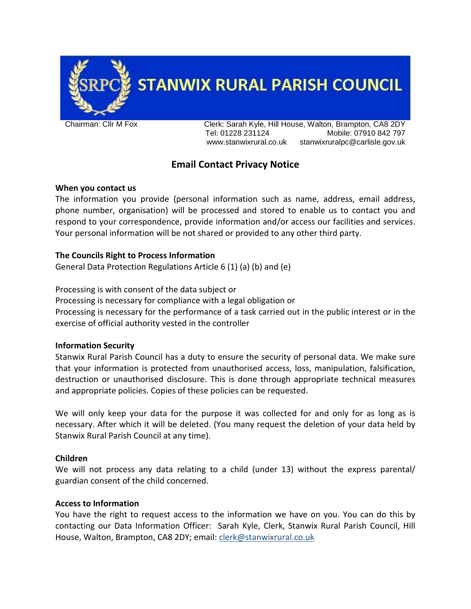

**STANWIX RURAL PARISH COUNCIL** 

Chairman: Cllr M Fox Clerk: Sarah Kyle, Hill House, Walton, Brampton, CA8 2DY Tel: 01228 231124 Mobile: 07910 842 797 www.stanwixrural.co.uk stanwixruralpc@carlisle.gov.uk

# **Email Contact Privacy Notice**

# **When you contact us**

The information you provide (personal information such as name, address, email address, phone number, organisation) will be processed and stored to enable us to contact you and respond to your correspondence, provide information and/or access our facilities and services. Your personal information will be not shared or provided to any other third party.

# **The Councils Right to Process Information**

General Data Protection Regulations Article 6 (1) (a) (b) and (e)

Processing is with consent of the data subject or

Processing is necessary for compliance with a legal obligation or Processing is necessary for the performance of a task carried out in the public interest or in the

exercise of official authority vested in the controller

# **Information Security**

Stanwix Rural Parish Council has a duty to ensure the security of personal data. We make sure that your information is protected from unauthorised access, loss, manipulation, falsification, destruction or unauthorised disclosure. This is done through appropriate technical measures and appropriate policies. Copies of these policies can be requested.

We will only keep your data for the purpose it was collected for and only for as long as is necessary. After which it will be deleted. (You many request the deletion of your data held by Stanwix Rural Parish Council at any time).

#### **Children**

We will not process any data relating to a child (under 13) without the express parental/ guardian consent of the child concerned.

# **Access to Information**

You have the right to request access to the information we have on you. You can do this by contacting our Data Information Officer: Sarah Kyle, Clerk, Stanwix Rural Parish Council, Hill House, Walton, Brampton, CA8 2DY; email: [clerk@stanwixrural.co.uk](mailto:clerk@stanwixrural.co.uk)